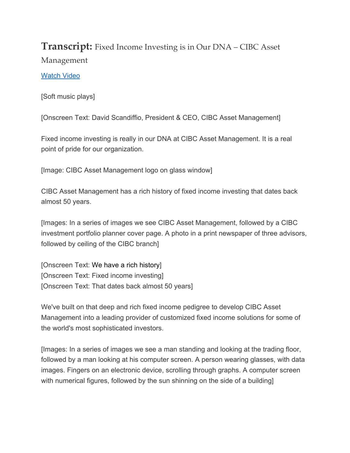## **Transcript:** Fixed Income Investing is in Our DNA – CIBC Asset Management

## Watch Video

[Soft music plays]

[Onscreen Text: David Scandiffio, President & CEO, CIBC Asset Management]

Fixed income investing is really in our DNA at CIBC Asset Management. It is a real point of pride for our organization.

[Image: CIBC Asset Management logo on glass window]

CIBC Asset Management has a rich history of fixed income investing that dates back almost 50 years.

[Images: In a series of images we see CIBC Asset Management, followed by a CIBC investment portfolio planner cover page. A photo in a print newspaper of three advisors, followed by ceiling of the CIBC branch]

[Onscreen Text: We have a rich history] [Onscreen Text: Fixed income investing] [Onscreen Text: That dates back almost 50 years]

We've built on that deep and rich fixed income pedigree to develop CIBC Asset Management into a leading provider of customized fixed income solutions for some of the world's most sophisticated investors.

[Images: In a series of images we see a man standing and looking at the trading floor, followed by a man looking at his computer screen. A person wearing glasses, with data images. Fingers on an electronic device, scrolling through graphs. A computer screen with numerical figures, followed by the sun shinning on the side of a building]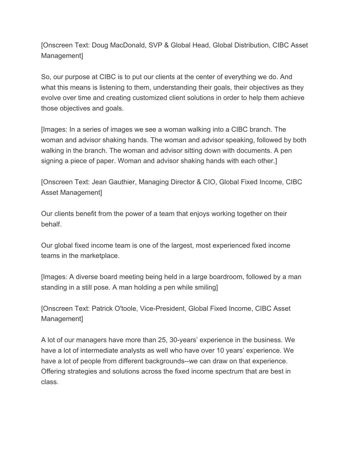[Onscreen Text: Doug MacDonald, SVP & Global Head, Global Distribution, CIBC Asset Management]

So, our purpose at CIBC is to put our clients at the center of everything we do. And what this means is listening to them, understanding their goals, their objectives as they evolve over time and creating customized client solutions in order to help them achieve those objectives and goals.

[Images: In a series of images we see a woman walking into a CIBC branch. The woman and advisor shaking hands. The woman and advisor speaking, followed by both walking in the branch. The woman and advisor sitting down with documents. A pen signing a piece of paper. Woman and advisor shaking hands with each other.]

[Onscreen Text: Jean Gauthier, Managing Director & CIO, Global Fixed Income, CIBC Asset Management]

Our clients benefit from the power of a team that enjoys working together on their behalf.

Our global fixed income team is one of the largest, most experienced fixed income teams in the marketplace.

[Images: A diverse board meeting being held in a large boardroom, followed by a man standing in a still pose. A man holding a pen while smiling]

[Onscreen Text: Patrick O'toole, Vice-President, Global Fixed Income, CIBC Asset Management]

A lot of our managers have more than 25, 30-years' experience in the business. We have a lot of intermediate analysts as well who have over 10 years' experience. We have a lot of people from different backgrounds--we can draw on that experience. Offering strategies and solutions across the fixed income spectrum that are best in class.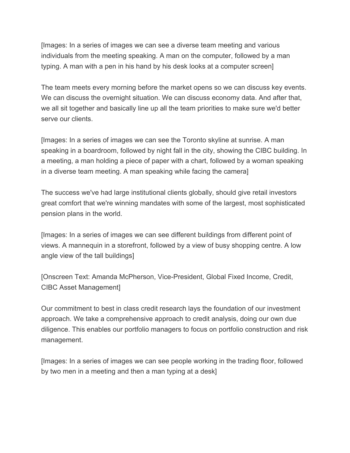[Images: In a series of images we can see a diverse team meeting and various individuals from the meeting speaking. A man on the computer, followed by a man typing. A man with a pen in his hand by his desk looks at a computer screen]

The team meets every morning before the market opens so we can discuss key events. We can discuss the overnight situation. We can discuss economy data. And after that, we all sit together and basically line up all the team priorities to make sure we'd better serve our clients.

[Images: In a series of images we can see the Toronto skyline at sunrise. A man speaking in a boardroom, followed by night fall in the city, showing the CIBC building. In a meeting, a man holding a piece of paper with a chart, followed by a woman speaking in a diverse team meeting. A man speaking while facing the camera]

The success we've had large institutional clients globally, should give retail investors great comfort that we're winning mandates with some of the largest, most sophisticated pension plans in the world.

[Images: In a series of images we can see different buildings from different point of views. A mannequin in a storefront, followed by a view of busy shopping centre. A low angle view of the tall buildings]

[Onscreen Text: Amanda McPherson, Vice-President, Global Fixed Income, Credit, CIBC Asset Management]

Our commitment to best in class credit research lays the foundation of our investment approach. We take a comprehensive approach to credit analysis, doing our own due diligence. This enables our portfolio managers to focus on portfolio construction and risk management.

[Images: In a series of images we can see people working in the trading floor, followed by two men in a meeting and then a man typing at a desk]